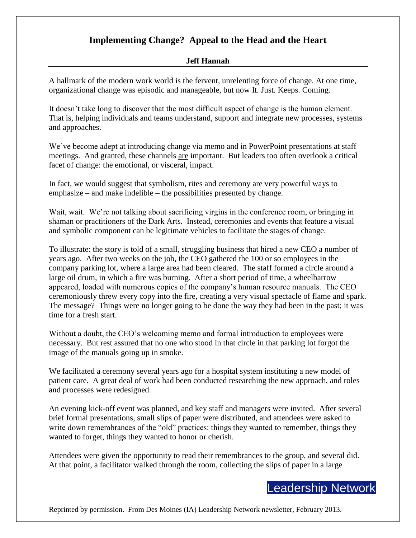## **Implementing Change? Appeal to the Head and the Heart**

## **Jeff Hannah**

A hallmark of the modern work world is the fervent, unrelenting force of change. At one time, organizational change was episodic and manageable, but now It. Just. Keeps. Coming.

It doesn't take long to discover that the most difficult aspect of change is the human element. That is, helping individuals and teams understand, support and integrate new processes, systems and approaches.

We've become adept at introducing change via memo and in PowerPoint presentations at staff meetings. And granted, these channels are important. But leaders too often overlook a critical facet of change: the emotional, or visceral, impact.

In fact, we would suggest that symbolism, rites and ceremony are very powerful ways to emphasize – and make indelible – the possibilities presented by change.

Wait, wait. We're not talking about sacrificing virgins in the conference room, or bringing in shaman or practitioners of the Dark Arts. Instead, ceremonies and events that feature a visual and symbolic component can be legitimate vehicles to facilitate the stages of change.

To illustrate: the story is told of a small, struggling business that hired a new CEO a number of years ago. After two weeks on the job, the CEO gathered the 100 or so employees in the company parking lot, where a large area had been cleared. The staff formed a circle around a large oil drum, in which a fire was burning. After a short period of time, a wheelbarrow appeared, loaded with numerous copies of the company's human resource manuals. The CEO ceremoniously threw every copy into the fire, creating a very visual spectacle of flame and spark. The message? Things were no longer going to be done the way they had been in the past; it was time for a fresh start.

Without a doubt, the CEO's welcoming memo and formal introduction to employees were necessary. But rest assured that no one who stood in that circle in that parking lot forgot the image of the manuals going up in smoke.

We facilitated a ceremony several years ago for a hospital system instituting a new model of patient care. A great deal of work had been conducted researching the new approach, and roles and processes were redesigned.

An evening kick-off event was planned, and key staff and managers were invited. After several brief formal presentations, small slips of paper were distributed, and attendees were asked to write down remembrances of the "old" practices: things they wanted to remember, things they wanted to forget, things they wanted to honor or cherish.

Attendees were given the opportunity to read their remembrances to the group, and several did. At that point, a facilitator walked through the room, collecting the slips of paper in a large

## Leadership Network

Reprinted by permission. From Des Moines (IA) Leadership Network newsletter, February 2013.